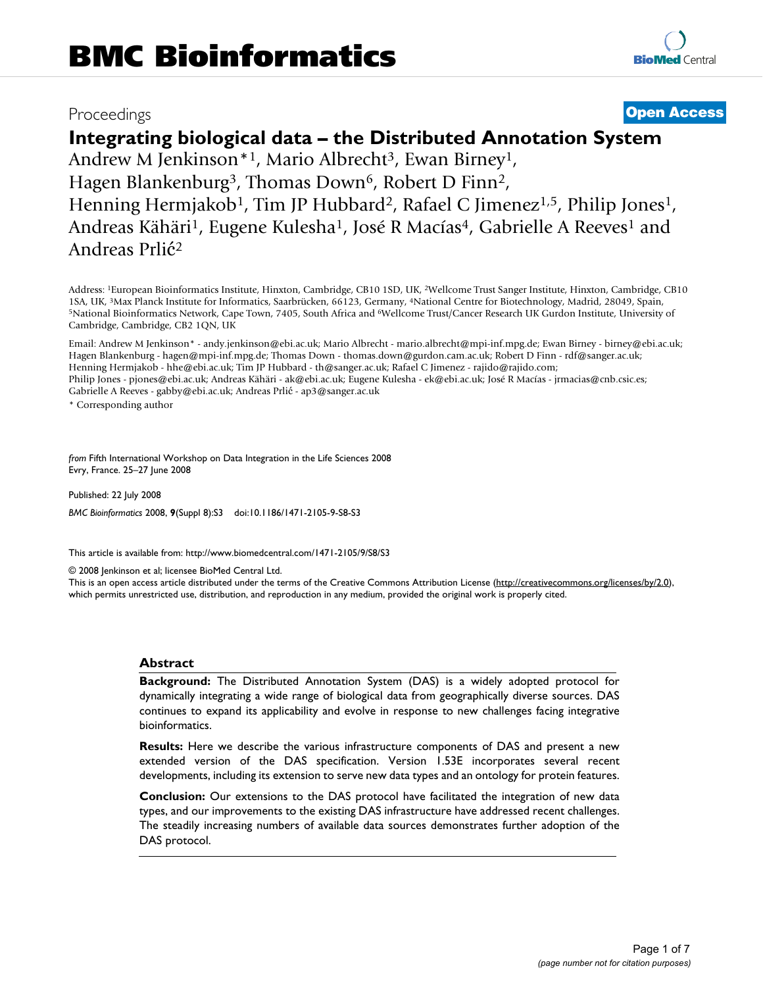# Proceedings **[Open Access](http://www.biomedcentral.com/info/about/charter/)**

**Integrating biological data – the Distributed Annotation System**

Andrew M Jenkinson<sup>\*1</sup>, Mario Albrecht<sup>3</sup>, Ewan Birney<sup>1</sup>, Hagen Blankenburg<sup>3</sup>, Thomas Down<sup>6</sup>, Robert D Finn<sup>2</sup>, Henning Hermjakob<sup>1</sup>, Tim JP Hubbard<sup>2</sup>, Rafael C Jimenez<sup>1,5</sup>, Philip Jones<sup>1</sup>, Andreas Kähäri<sup>1</sup>, Eugene Kulesha<sup>1</sup>, José R Macías<sup>4</sup>, Gabrielle A Reeves<sup>1</sup> and Andreas Prlić<sup>2</sup>

Address: 1European Bioinformatics Institute, Hinxton, Cambridge, CB10 1SD, UK, 2Wellcome Trust Sanger Institute, Hinxton, Cambridge, CB10 1SA, UK, <sup>3</sup>Max Planck Institute for Informatics, Saarbrücken, 66123, Germany, <sup>4</sup>National Centre for Biotechnology, Madrid, 28049, Spain,<br><sup>5</sup>National Bioinformatics Network, Cape Town, 7405, South Africa and <sup>6</sup>Wellcome T Cambridge, Cambridge, CB2 1QN, UK

Email: Andrew M Jenkinson\* - andy.jenkinson@ebi.ac.uk; Mario Albrecht - mario.albrecht@mpi-inf.mpg.de; Ewan Birney - birney@ebi.ac.uk; Hagen Blankenburg - hagen@mpi-inf.mpg.de; Thomas Down - thomas.down@gurdon.cam.ac.uk; Robert D Finn - rdf@sanger.ac.uk; Henning Hermjakob - hhe@ebi.ac.uk; Tim JP Hubbard - th@sanger.ac.uk; Rafael C Jimenez - rajido@rajido.com; Philip Jones - pjones@ebi.ac.uk; Andreas Kähäri - ak@ebi.ac.uk; Eugene Kulesha - ek@ebi.ac.uk; José R Macías - jrmacias@cnb.csic.es; Gabrielle A Reeves - gabby@ebi.ac.uk; Andreas Prlić - ap3@sanger.ac.uk

\* Corresponding author

*from* Fifth International Workshop on Data Integration in the Life Sciences 2008 Evry, France. 25–27 June 2008

Published: 22 July 2008 *BMC Bioinformatics* 2008, **9**(Suppl 8):S3 doi:10.1186/1471-2105-9-S8-S3

[This article is available from: http://www.biomedcentral.com/1471-2105/9/S8/S3](http://www.biomedcentral.com/1471-2105/9/S8/S3)

© 2008 Jenkinson et al; licensee BioMed Central Ltd.

This is an open access article distributed under the terms of the Creative Commons Attribution License [\(http://creativecommons.org/licenses/by/2.0\)](http://creativecommons.org/licenses/by/2.0), which permits unrestricted use, distribution, and reproduction in any medium, provided the original work is properly cited.

#### **Abstract**

**Background:** The Distributed Annotation System (DAS) is a widely adopted protocol for dynamically integrating a wide range of biological data from geographically diverse sources. DAS continues to expand its applicability and evolve in response to new challenges facing integrative bioinformatics.

**Results:** Here we describe the various infrastructure components of DAS and present a new extended version of the DAS specification. Version 1.53E incorporates several recent developments, including its extension to serve new data types and an ontology for protein features.

**Conclusion:** Our extensions to the DAS protocol have facilitated the integration of new data types, and our improvements to the existing DAS infrastructure have addressed recent challenges. The steadily increasing numbers of available data sources demonstrates further adoption of the DAS protocol.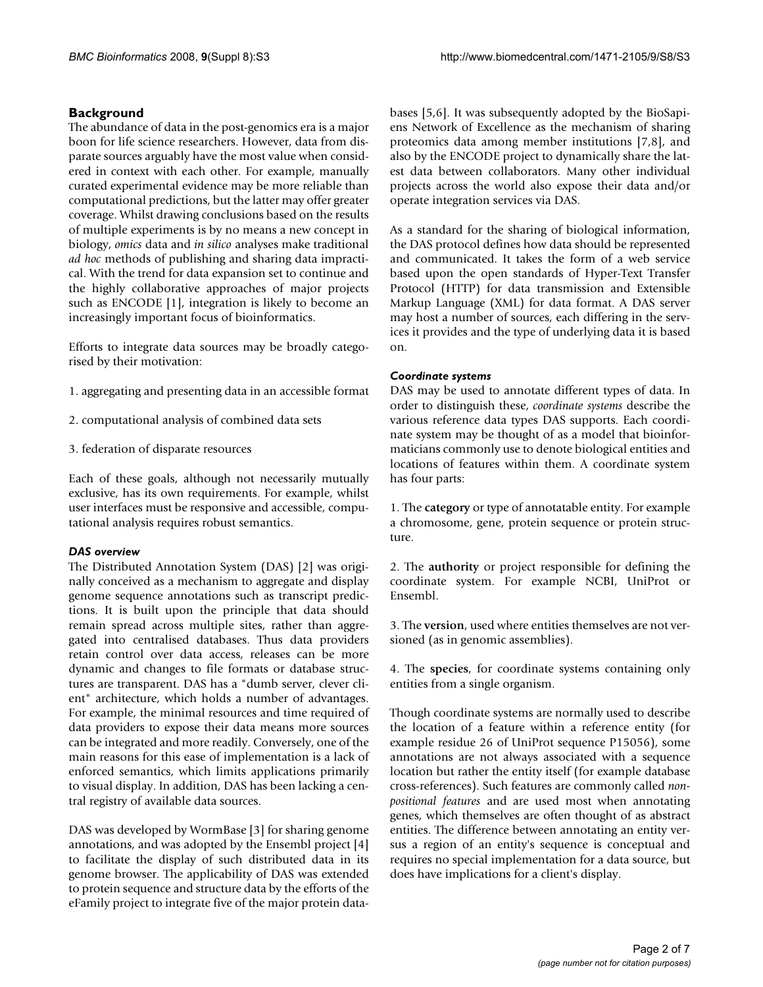# **Background**

The abundance of data in the post-genomics era is a major boon for life science researchers. However, data from disparate sources arguably have the most value when considered in context with each other. For example, manually curated experimental evidence may be more reliable than computational predictions, but the latter may offer greater coverage. Whilst drawing conclusions based on the results of multiple experiments is by no means a new concept in biology, *omics* data and *in silico* analyses make traditional *ad hoc* methods of publishing and sharing data impractical. With the trend for data expansion set to continue and the highly collaborative approaches of major projects such as ENCODE [1], integration is likely to become an increasingly important focus of bioinformatics.

Efforts to integrate data sources may be broadly categorised by their motivation:

- 1. aggregating and presenting data in an accessible format
- 2. computational analysis of combined data sets
- 3. federation of disparate resources

Each of these goals, although not necessarily mutually exclusive, has its own requirements. For example, whilst user interfaces must be responsive and accessible, computational analysis requires robust semantics.

# *DAS overview*

The Distributed Annotation System (DAS) [2] was originally conceived as a mechanism to aggregate and display genome sequence annotations such as transcript predictions. It is built upon the principle that data should remain spread across multiple sites, rather than aggregated into centralised databases. Thus data providers retain control over data access, releases can be more dynamic and changes to file formats or database structures are transparent. DAS has a "dumb server, clever client" architecture, which holds a number of advantages. For example, the minimal resources and time required of data providers to expose their data means more sources can be integrated and more readily. Conversely, one of the main reasons for this ease of implementation is a lack of enforced semantics, which limits applications primarily to visual display. In addition, DAS has been lacking a central registry of available data sources.

DAS was developed by WormBase [3] for sharing genome annotations, and was adopted by the Ensembl project [4] to facilitate the display of such distributed data in its genome browser. The applicability of DAS was extended to protein sequence and structure data by the efforts of the eFamily project to integrate five of the major protein databases [5,6]. It was subsequently adopted by the BioSapiens Network of Excellence as the mechanism of sharing proteomics data among member institutions [7,8], and also by the ENCODE project to dynamically share the latest data between collaborators. Many other individual projects across the world also expose their data and/or operate integration services via DAS.

As a standard for the sharing of biological information, the DAS protocol defines how data should be represented and communicated. It takes the form of a web service based upon the open standards of Hyper-Text Transfer Protocol (HTTP) for data transmission and Extensible Markup Language (XML) for data format. A DAS server may host a number of sources, each differing in the services it provides and the type of underlying data it is based on.

# *Coordinate systems*

DAS may be used to annotate different types of data. In order to distinguish these, *coordinate systems* describe the various reference data types DAS supports. Each coordinate system may be thought of as a model that bioinformaticians commonly use to denote biological entities and locations of features within them. A coordinate system has four parts:

1. The **category** or type of annotatable entity. For example a chromosome, gene, protein sequence or protein structure.

2. The **authority** or project responsible for defining the coordinate system. For example NCBI, UniProt or Ensembl.

3. The **version**, used where entities themselves are not versioned (as in genomic assemblies).

4. The **species**, for coordinate systems containing only entities from a single organism.

Though coordinate systems are normally used to describe the location of a feature within a reference entity (for example residue 26 of UniProt sequence P15056), some annotations are not always associated with a sequence location but rather the entity itself (for example database cross-references). Such features are commonly called *nonpositional features* and are used most when annotating genes, which themselves are often thought of as abstract entities. The difference between annotating an entity versus a region of an entity's sequence is conceptual and requires no special implementation for a data source, but does have implications for a client's display.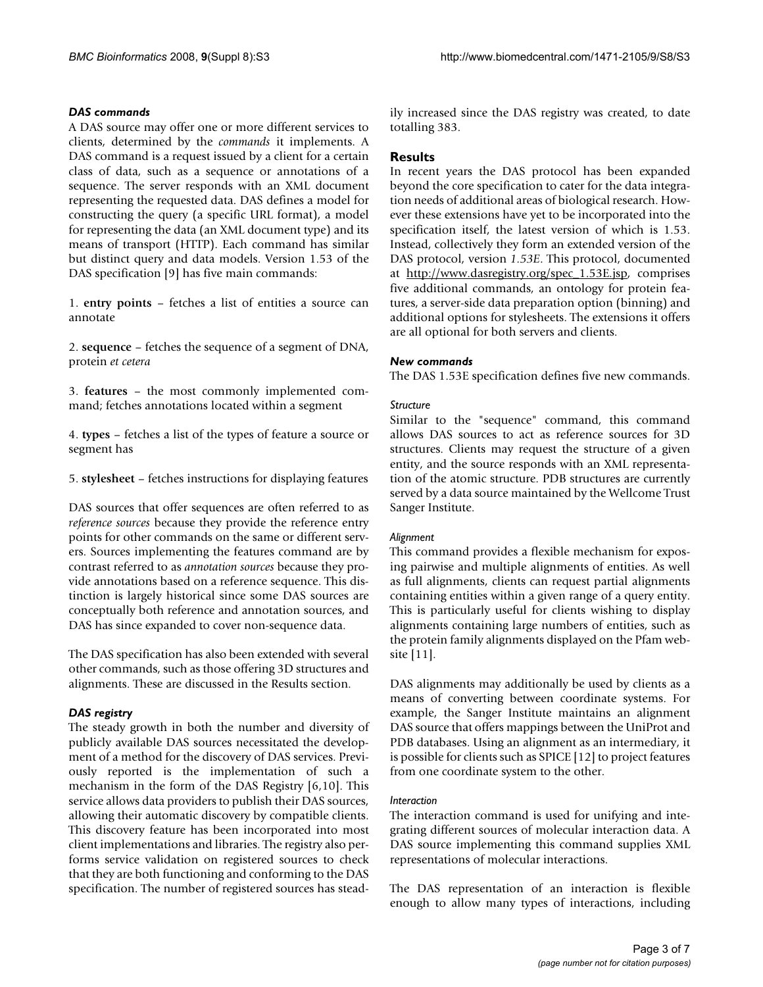#### *DAS commands*

A DAS source may offer one or more different services to clients, determined by the *commands* it implements. A DAS command is a request issued by a client for a certain class of data, such as a sequence or annotations of a sequence. The server responds with an XML document representing the requested data. DAS defines a model for constructing the query (a specific URL format), a model for representing the data (an XML document type) and its means of transport (HTTP). Each command has similar but distinct query and data models. Version 1.53 of the DAS specification [9] has five main commands:

1. **entry points** – fetches a list of entities a source can annotate

2. **sequence** – fetches the sequence of a segment of DNA, protein *et cetera*

3. **features** – the most commonly implemented command; fetches annotations located within a segment

4. **types** – fetches a list of the types of feature a source or segment has

5. **stylesheet** – fetches instructions for displaying features

DAS sources that offer sequences are often referred to as *reference sources* because they provide the reference entry points for other commands on the same or different servers. Sources implementing the features command are by contrast referred to as *annotation sources* because they provide annotations based on a reference sequence. This distinction is largely historical since some DAS sources are conceptually both reference and annotation sources, and DAS has since expanded to cover non-sequence data.

The DAS specification has also been extended with several other commands, such as those offering 3D structures and alignments. These are discussed in the Results section.

#### *DAS registry*

The steady growth in both the number and diversity of publicly available DAS sources necessitated the development of a method for the discovery of DAS services. Previously reported is the implementation of such a mechanism in the form of the DAS Registry [6,10]. This service allows data providers to publish their DAS sources, allowing their automatic discovery by compatible clients. This discovery feature has been incorporated into most client implementations and libraries. The registry also performs service validation on registered sources to check that they are both functioning and conforming to the DAS specification. The number of registered sources has steadily increased since the DAS registry was created, to date totalling 383.

# **Results**

In recent years the DAS protocol has been expanded beyond the core specification to cater for the data integration needs of additional areas of biological research. However these extensions have yet to be incorporated into the specification itself, the latest version of which is 1.53. Instead, collectively they form an extended version of the DAS protocol, version *1.53E*. This protocol, documented at [http://www.dasregistry.org/spec\\_1.53E.jsp,](http://www.dasregistry.org/spec_1.53E.jsp) comprises five additional commands, an ontology for protein features, a server-side data preparation option (binning) and additional options for stylesheets. The extensions it offers are all optional for both servers and clients.

#### *New commands*

The DAS 1.53E specification defines five new commands.

### *Structure*

Similar to the "sequence" command, this command allows DAS sources to act as reference sources for 3D structures. Clients may request the structure of a given entity, and the source responds with an XML representation of the atomic structure. PDB structures are currently served by a data source maintained by the Wellcome Trust Sanger Institute.

#### *Alignment*

This command provides a flexible mechanism for exposing pairwise and multiple alignments of entities. As well as full alignments, clients can request partial alignments containing entities within a given range of a query entity. This is particularly useful for clients wishing to display alignments containing large numbers of entities, such as the protein family alignments displayed on the Pfam website [11].

DAS alignments may additionally be used by clients as a means of converting between coordinate systems. For example, the Sanger Institute maintains an alignment DAS source that offers mappings between the UniProt and PDB databases. Using an alignment as an intermediary, it is possible for clients such as SPICE [12] to project features from one coordinate system to the other.

#### *Interaction*

The interaction command is used for unifying and integrating different sources of molecular interaction data. A DAS source implementing this command supplies XML representations of molecular interactions.

The DAS representation of an interaction is flexible enough to allow many types of interactions, including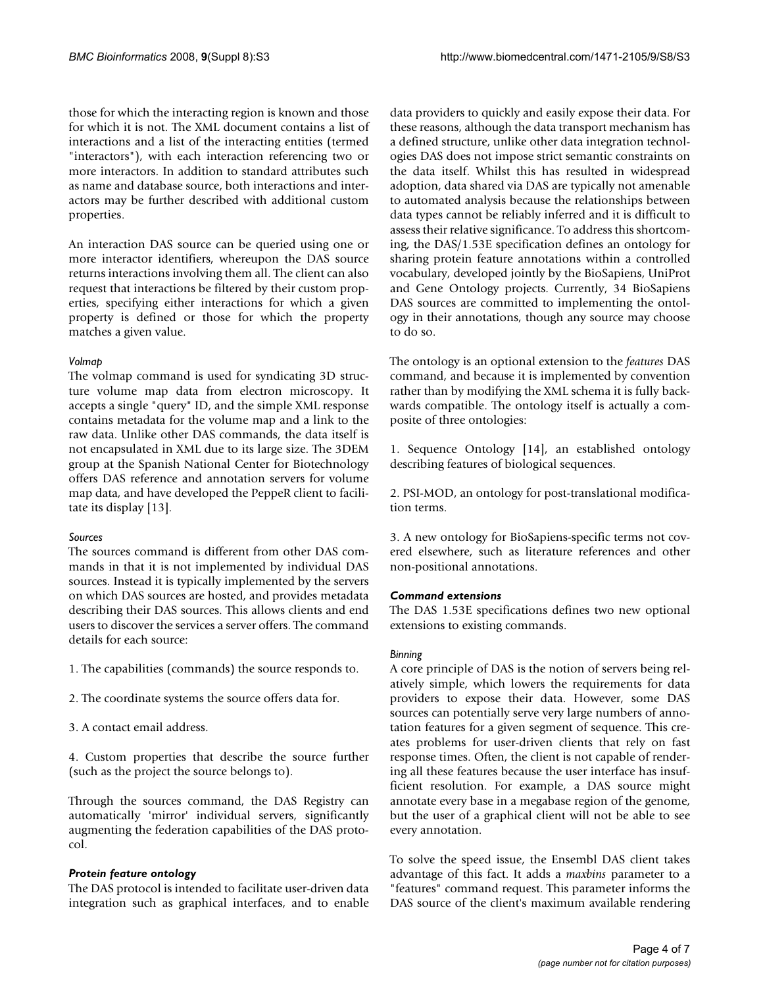those for which the interacting region is known and those for which it is not. The XML document contains a list of interactions and a list of the interacting entities (termed "interactors"), with each interaction referencing two or more interactors. In addition to standard attributes such as name and database source, both interactions and interactors may be further described with additional custom properties.

An interaction DAS source can be queried using one or more interactor identifiers, whereupon the DAS source returns interactions involving them all. The client can also request that interactions be filtered by their custom properties, specifying either interactions for which a given property is defined or those for which the property matches a given value.

### *Volmap*

The volmap command is used for syndicating 3D structure volume map data from electron microscopy. It accepts a single "query" ID, and the simple XML response contains metadata for the volume map and a link to the raw data. Unlike other DAS commands, the data itself is not encapsulated in XML due to its large size. The 3DEM group at the Spanish National Center for Biotechnology offers DAS reference and annotation servers for volume map data, and have developed the PeppeR client to facilitate its display [13].

# *Sources*

The sources command is different from other DAS commands in that it is not implemented by individual DAS sources. Instead it is typically implemented by the servers on which DAS sources are hosted, and provides metadata describing their DAS sources. This allows clients and end users to discover the services a server offers. The command details for each source:

- 1. The capabilities (commands) the source responds to.
- 2. The coordinate systems the source offers data for.
- 3. A contact email address.

4. Custom properties that describe the source further (such as the project the source belongs to).

Through the sources command, the DAS Registry can automatically 'mirror' individual servers, significantly augmenting the federation capabilities of the DAS protocol.

#### *Protein feature ontology*

The DAS protocol is intended to facilitate user-driven data integration such as graphical interfaces, and to enable data providers to quickly and easily expose their data. For these reasons, although the data transport mechanism has a defined structure, unlike other data integration technologies DAS does not impose strict semantic constraints on the data itself. Whilst this has resulted in widespread adoption, data shared via DAS are typically not amenable to automated analysis because the relationships between data types cannot be reliably inferred and it is difficult to assess their relative significance. To address this shortcoming, the DAS/1.53E specification defines an ontology for sharing protein feature annotations within a controlled vocabulary, developed jointly by the BioSapiens, UniProt and Gene Ontology projects. Currently, 34 BioSapiens DAS sources are committed to implementing the ontology in their annotations, though any source may choose to do so.

The ontology is an optional extension to the *features* DAS command, and because it is implemented by convention rather than by modifying the XML schema it is fully backwards compatible. The ontology itself is actually a composite of three ontologies:

1. Sequence Ontology [14], an established ontology describing features of biological sequences.

2. PSI-MOD, an ontology for post-translational modification terms.

3. A new ontology for BioSapiens-specific terms not covered elsewhere, such as literature references and other non-positional annotations.

#### *Command extensions*

The DAS 1.53E specifications defines two new optional extensions to existing commands.

#### *Binning*

A core principle of DAS is the notion of servers being relatively simple, which lowers the requirements for data providers to expose their data. However, some DAS sources can potentially serve very large numbers of annotation features for a given segment of sequence. This creates problems for user-driven clients that rely on fast response times. Often, the client is not capable of rendering all these features because the user interface has insufficient resolution. For example, a DAS source might annotate every base in a megabase region of the genome, but the user of a graphical client will not be able to see every annotation.

To solve the speed issue, the Ensembl DAS client takes advantage of this fact. It adds a *maxbins* parameter to a "features" command request. This parameter informs the DAS source of the client's maximum available rendering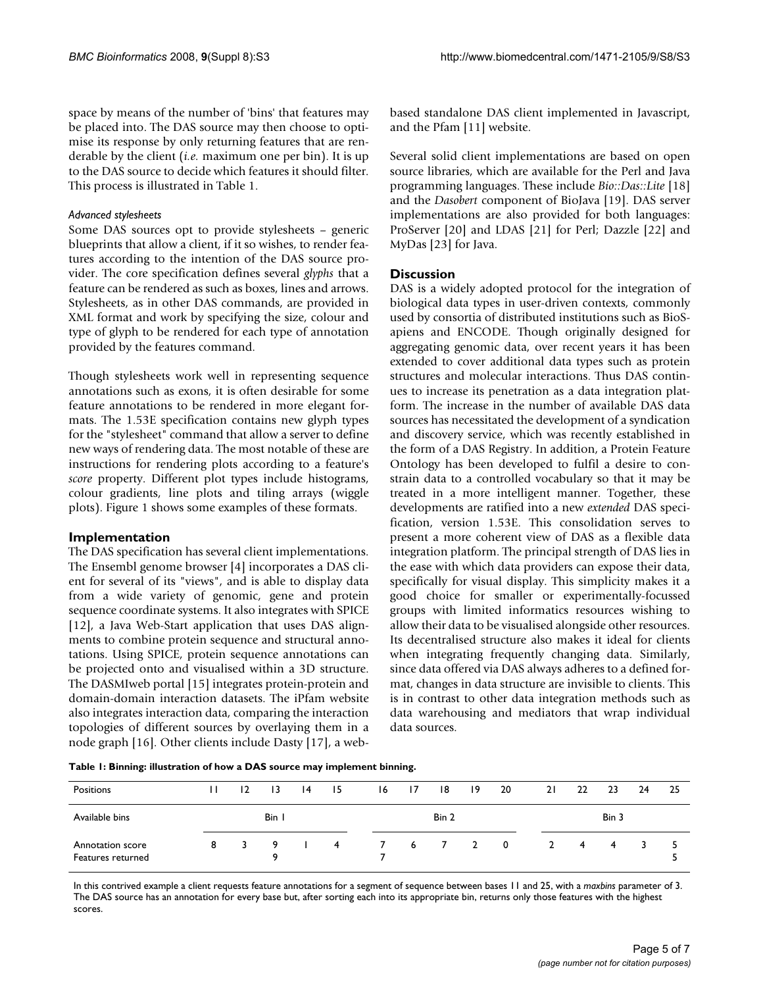space by means of the number of 'bins' that features may be placed into. The DAS source may then choose to optimise its response by only returning features that are renderable by the client (*i.e.* maximum one per bin). It is up to the DAS source to decide which features it should filter. This process is illustrated in Table 1.

#### *Advanced stylesheets*

Some DAS sources opt to provide stylesheets – generic blueprints that allow a client, if it so wishes, to render features according to the intention of the DAS source provider. The core specification defines several *glyphs* that a feature can be rendered as such as boxes, lines and arrows. Stylesheets, as in other DAS commands, are provided in XML format and work by specifying the size, colour and type of glyph to be rendered for each type of annotation provided by the features command.

Though stylesheets work well in representing sequence annotations such as exons, it is often desirable for some feature annotations to be rendered in more elegant formats. The 1.53E specification contains new glyph types for the "stylesheet" command that allow a server to define new ways of rendering data. The most notable of these are instructions for rendering plots according to a feature's *score* property. Different plot types include histograms, colour gradients, line plots and tiling arrays (wiggle plots). Figure 1 shows some examples of these formats.

# **Implementation**

The DAS specification has several client implementations. The Ensembl genome browser [4] incorporates a DAS client for several of its "views", and is able to display data from a wide variety of genomic, gene and protein sequence coordinate systems. It also integrates with SPICE [12], a Java Web-Start application that uses DAS alignments to combine protein sequence and structural annotations. Using SPICE, protein sequence annotations can be projected onto and visualised within a 3D structure. The DASMIweb portal [15] integrates protein-protein and domain-domain interaction datasets. The iPfam website also integrates interaction data, comparing the interaction topologies of different sources by overlaying them in a node graph [16]. Other clients include Dasty [17], a webbased standalone DAS client implemented in Javascript, and the Pfam [11] website.

Several solid client implementations are based on open source libraries, which are available for the Perl and Java programming languages. These include *Bio::Das::Lite* [18] and the *Dasobert* component of BioJava [19]. DAS server implementations are also provided for both languages: ProServer [20] and LDAS [21] for Perl; Dazzle [22] and MyDas [23] for Java.

# **Discussion**

DAS is a widely adopted protocol for the integration of biological data types in user-driven contexts, commonly used by consortia of distributed institutions such as BioSapiens and ENCODE. Though originally designed for aggregating genomic data, over recent years it has been extended to cover additional data types such as protein structures and molecular interactions. Thus DAS continues to increase its penetration as a data integration platform. The increase in the number of available DAS data sources has necessitated the development of a syndication and discovery service, which was recently established in the form of a DAS Registry. In addition, a Protein Feature Ontology has been developed to fulfil a desire to constrain data to a controlled vocabulary so that it may be treated in a more intelligent manner. Together, these developments are ratified into a new *extended* DAS specification, version 1.53E. This consolidation serves to present a more coherent view of DAS as a flexible data integration platform. The principal strength of DAS lies in the ease with which data providers can expose their data, specifically for visual display. This simplicity makes it a good choice for smaller or experimentally-focussed groups with limited informatics resources wishing to allow their data to be visualised alongside other resources. Its decentralised structure also makes it ideal for clients when integrating frequently changing data. Similarly, since data offered via DAS always adheres to a defined format, changes in data structure are invisible to clients. This is in contrast to other data integration methods such as data warehousing and mediators that wrap individual data sources.

**Table 1: Binning: illustration of how a DAS source may implement binning.**

| Positions                             | $\mathbf{H}$ | 12 | $\overline{13}$ | 4 | $\overline{15}$ | 16    | $\overline{17}$ | 8       | 9 | 20                      | 21           | 22 | 23 | 24 | -25 |
|---------------------------------------|--------------|----|-----------------|---|-----------------|-------|-----------------|---------|---|-------------------------|--------------|----|----|----|-----|
| Available bins                        | Bin I        |    |                 |   |                 | Bin 2 |                 |         |   |                         | Bin 3        |    |    |    |     |
| Annotation score<br>Features returned | 8            | 3  | 9<br>q          |   | -4              |       |                 | 7 6 7 2 |   | $\overline{\mathbf{0}}$ | $\mathbf{2}$ | 4  | 4  |    |     |

In this contrived example a client requests feature annotations for a segment of sequence between bases 11 and 25, with a *maxbins* parameter of 3. The DAS source has an annotation for every base but, after sorting each into its appropriate bin, returns only those features with the highest scores.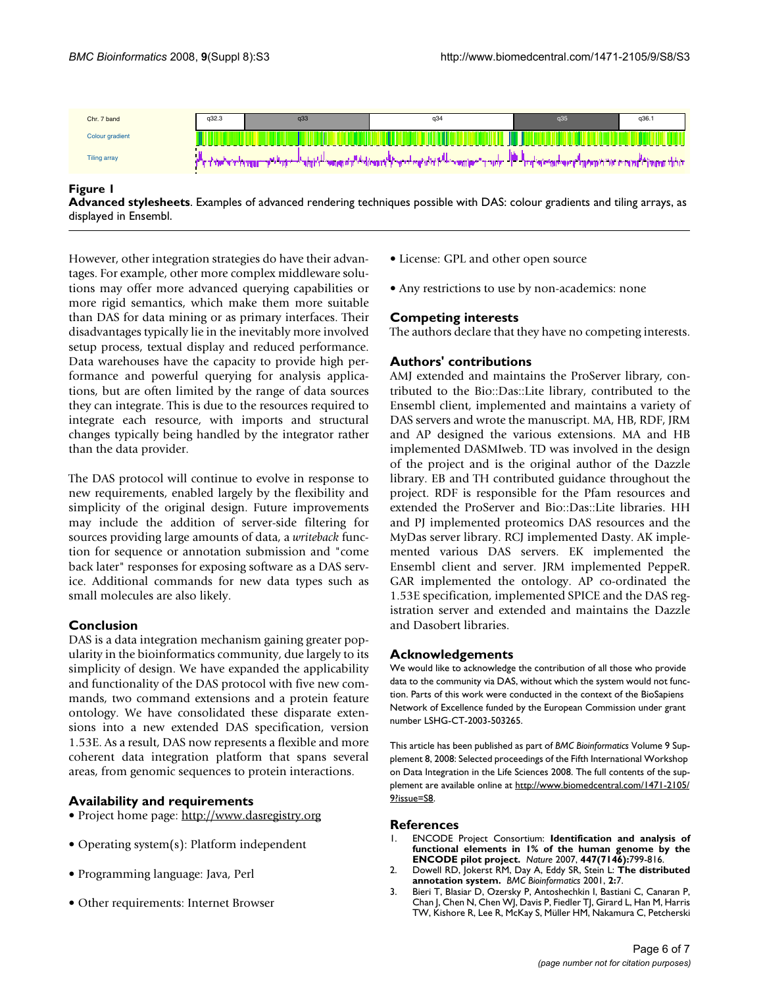

#### **Figure 1**

**Advanced stylesheets**. Examples of advanced rendering techniques possible with DAS: colour gradients and tiling arrays, as displayed in Ensembl.

However, other integration strategies do have their advantages. For example, other more complex middleware solutions may offer more advanced querying capabilities or more rigid semantics, which make them more suitable than DAS for data mining or as primary interfaces. Their disadvantages typically lie in the inevitably more involved setup process, textual display and reduced performance. Data warehouses have the capacity to provide high performance and powerful querying for analysis applications, but are often limited by the range of data sources they can integrate. This is due to the resources required to integrate each resource, with imports and structural changes typically being handled by the integrator rather than the data provider.

The DAS protocol will continue to evolve in response to new requirements, enabled largely by the flexibility and simplicity of the original design. Future improvements may include the addition of server-side filtering for sources providing large amounts of data, a *writeback* function for sequence or annotation submission and "come back later" responses for exposing software as a DAS service. Additional commands for new data types such as small molecules are also likely.

# **Conclusion**

DAS is a data integration mechanism gaining greater popularity in the bioinformatics community, due largely to its simplicity of design. We have expanded the applicability and functionality of the DAS protocol with five new commands, two command extensions and a protein feature ontology. We have consolidated these disparate extensions into a new extended DAS specification, version 1.53E. As a result, DAS now represents a flexible and more coherent data integration platform that spans several areas, from genomic sequences to protein interactions.

# **Availability and requirements**

- Project home page: <http://www.dasregistry.org>
- Operating system(s): Platform independent
- Programming language: Java, Perl
- Other requirements: Internet Browser
- License: GPL and other open source
- Any restrictions to use by non-academics: none

# **Competing interests**

The authors declare that they have no competing interests.

# **Authors' contributions**

AMJ extended and maintains the ProServer library, contributed to the Bio::Das::Lite library, contributed to the Ensembl client, implemented and maintains a variety of DAS servers and wrote the manuscript. MA, HB, RDF, JRM and AP designed the various extensions. MA and HB implemented DASMIweb. TD was involved in the design of the project and is the original author of the Dazzle library. EB and TH contributed guidance throughout the project. RDF is responsible for the Pfam resources and extended the ProServer and Bio::Das::Lite libraries. HH and PJ implemented proteomics DAS resources and the MyDas server library. RCJ implemented Dasty. AK implemented various DAS servers. EK implemented the Ensembl client and server. JRM implemented PeppeR. GAR implemented the ontology. AP co-ordinated the 1.53E specification, implemented SPICE and the DAS registration server and extended and maintains the Dazzle and Dasobert libraries.

# **Acknowledgements**

We would like to acknowledge the contribution of all those who provide data to the community via DAS, without which the system would not function. Parts of this work were conducted in the context of the BioSapiens Network of Excellence funded by the European Commission under grant number LSHG-CT-2003-503265.

This article has been published as part of *BMC Bioinformatics* Volume 9 Supplement 8, 2008: Selected proceedings of the Fifth International Workshop on Data Integration in the Life Sciences 2008. The full contents of the supplement are available online at [http://www.biomedcentral.com/1471-2105/](http://www.biomedcentral.com/1471-2105/9?issue=S8) [9?issue=S8.](http://www.biomedcentral.com/1471-2105/9?issue=S8)

#### **References**

- 1. ENCODE Project Consortium: **[Identification and analysis of](http://www.ncbi.nlm.nih.gov/entrez/query.fcgi?cmd=Retrieve&db=PubMed&dopt=Abstract&list_uids=17571346) [functional elements in 1% of the human genome by the](http://www.ncbi.nlm.nih.gov/entrez/query.fcgi?cmd=Retrieve&db=PubMed&dopt=Abstract&list_uids=17571346) [ENCODE pilot project.](http://www.ncbi.nlm.nih.gov/entrez/query.fcgi?cmd=Retrieve&db=PubMed&dopt=Abstract&list_uids=17571346)** *Nature* 2007, **447(7146):**799-816.
- 2. Dowell RD, Jokerst RM, Day A, Eddy SR, Stein L: **[The distributed](http://www.ncbi.nlm.nih.gov/entrez/query.fcgi?cmd=Retrieve&db=PubMed&dopt=Abstract&list_uids=11667947) [annotation system.](http://www.ncbi.nlm.nih.gov/entrez/query.fcgi?cmd=Retrieve&db=PubMed&dopt=Abstract&list_uids=11667947)** *BMC Bioinformatics* 2001, **2:**7.
- 3. Bieri T, Blasiar D, Ozersky P, Antoshechkin I, Bastiani C, Canaran P, Chan J, Chen N, Chen WJ, Davis P, Fiedler TJ, Girard L, Han M, Harris TW, Kishore R, Lee R, McKay S, Müller HM, Nakamura C, Petcherski